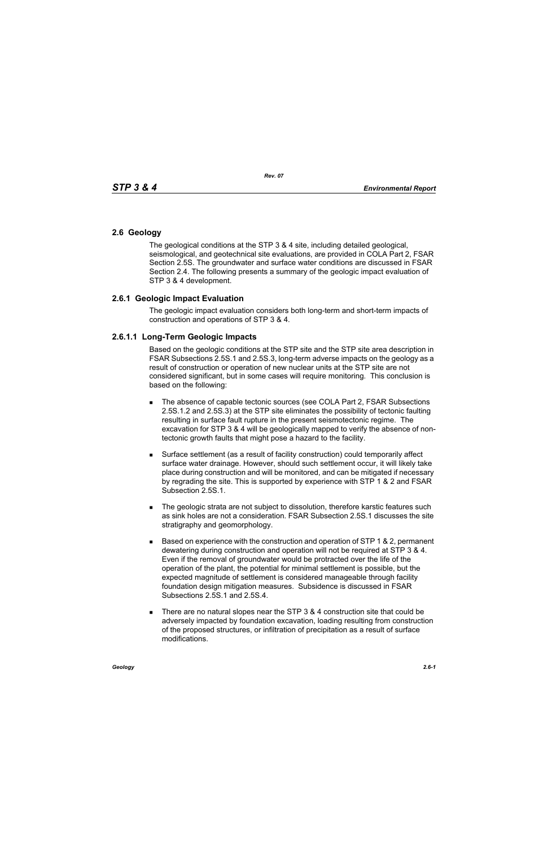## **2.6 Geology**

The geological conditions at the STP 3 & 4 site, including detailed geological, seismological, and geotechnical site evaluations, are provided in COLA Part 2, FSAR Section 2.5S. The groundwater and surface water conditions are discussed in FSAR Section 2.4. The following presents a summary of the geologic impact evaluation of STP 3 & 4 development.

## **2.6.1 Geologic Impact Evaluation**

The geologic impact evaluation considers both long-term and short-term impacts of construction and operations of STP 3 & 4.

## **2.6.1.1 Long-Term Geologic Impacts**

Based on the geologic conditions at the STP site and the STP site area description in FSAR Subsections 2.5S.1 and 2.5S.3, long-term adverse impacts on the geology as a result of construction or operation of new nuclear units at the STP site are not considered significant, but in some cases will require monitoring. This conclusion is based on the following:

- The absence of capable tectonic sources (see COLA Part 2, FSAR Subsections 2.5S.1.2 and 2.5S.3) at the STP site eliminates the possibility of tectonic faulting resulting in surface fault rupture in the present seismotectonic regime. The excavation for STP 3 & 4 will be geologically mapped to verify the absence of nontectonic growth faults that might pose a hazard to the facility.
- Surface settlement (as a result of facility construction) could temporarily affect surface water drainage. However, should such settlement occur, it will likely take place during construction and will be monitored, and can be mitigated if necessary by regrading the site. This is supported by experience with STP 1 & 2 and FSAR Subsection 2.5S.1.
- The geologic strata are not subject to dissolution, therefore karstic features such as sink holes are not a consideration. FSAR Subsection 2.5S.1 discusses the site stratigraphy and geomorphology.
- $\blacksquare$  Based on experience with the construction and operation of STP 1 & 2, permanent dewatering during construction and operation will not be required at STP 3 & 4. Even if the removal of groundwater would be protracted over the life of the operation of the plant, the potential for minimal settlement is possible, but the expected magnitude of settlement is considered manageable through facility foundation design mitigation measures. Subsidence is discussed in FSAR Subsections 2.5S.1 and 2.5S.4.
- There are no natural slopes near the STP  $3.8.4$  construction site that could be adversely impacted by foundation excavation, loading resulting from construction of the proposed structures, or infiltration of precipitation as a result of surface modifications.